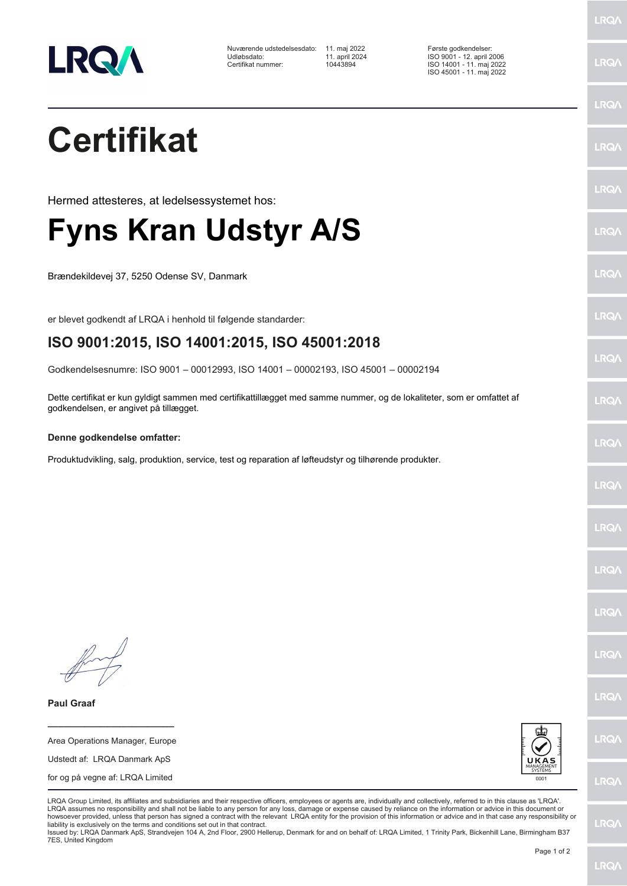

Nuværende udstedelsesdato: 11. maj 2022 Første godkendelser:<br>11. april 2024 Første god 1. maj 2024 ISO 9001 - 12. april 20 Udløbsdato: 11. april 2024 ISO 9001 - 12. april 2006 Certifikat nummer:

ISO 14001 - 11. maj 2022 ISO 45001 - 11. maj 2022

## **Certifikat**

Hermed attesteres, at ledelsessystemet hos:

## **Fyns Kran Udstyr A/S**

Brændekildevej 37, 5250 Odense SV, Danmark

er blevet godkendt af LRQA i henhold til følgende standarder:

## **ISO 9001:2015, ISO 14001:2015, ISO 45001:2018**

Godkendelsesnumre: ISO 9001 – 00012993, ISO 14001 – 00002193, ISO 45001 – 00002194

Dette certifikat er kun gyldigt sammen med certifikattillægget med samme nummer, og de lokaliteter, som er omfattet af godkendelsen, er angivet på tillægget.

## **Denne godkendelse omfatter:**

Produktudvikling, salg, produktion, service, test og reparation af løfteudstyr og tilhørende produkter.

**Paul Graaf**

Area Operations Manager, Europe Udstedt af: LRQA Danmark ApS for og på vegne af: LRQA Limited

**\_\_\_\_\_\_\_\_\_\_\_\_\_\_\_\_\_\_\_\_\_\_\_\_**



LRQA Group Limited, its affiliates and subsidiaries and their respective officers, employees or agents are, individually and collectively, referred to in this clause as 'LRQA'. LRQA assumes no responsibility and shall not be liable to any person for any loss, damage or expense caused by reliance on the information or advice in this document or howsoever provided, unless that person has signed a contract with the relevant LRQA entity for the provision of this information or advice and in that case any responsibility or<br>liability is exclusively on the terms and co

Issued by: LRQA Danmark ApS, Strandvejen 104 A, 2nd Floor, 2900 Hellerup, Denmark for and on behalf of: LRQA Limited, 1 Trinity Park, Bickenhill Lane, Birmingham B37 7ES, United Kingdom

LRQ/

LRQ/

LRQ/

LRQ/

LRQ/

LRQ/

LRQ/

**LRQA** 

**LRO** 

LRQ/

LRQ/

LRQ/

**LRQ/** 

LRQ/

**IRQA** 

LRQ/

LRQ/

**LRQ/** 

LRQ/